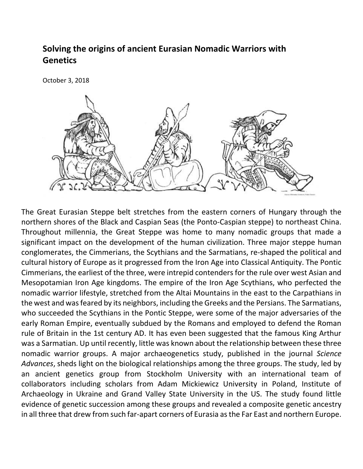## **Solving the origins of ancient Eurasian Nomadic Warriors with Genetics**

October 3, 2018



The Great Eurasian Steppe belt stretches from the eastern corners of Hungary through the northern shores of the Black and Caspian Seas (the Ponto-Caspian steppe) to northeast China. Throughout millennia, the Great Steppe was home to many nomadic groups that made a significant impact on the development of the human civilization. Three major steppe human conglomerates, the Cimmerians, the Scythians and the Sarmatians, re-shaped the political and cultural history of Europe as it progressed from the Iron Age into Classical Antiquity. The Pontic Cimmerians, the earliest of the three, were intrepid contenders for the rule over west Asian and Mesopotamian Iron Age kingdoms. The empire of the Iron Age Scythians, who perfected the nomadic warrior lifestyle, stretched from the Altai Mountains in the east to the Carpathians in the west and was feared by its neighbors, including the Greeks and the Persians. The Sarmatians, who succeeded the Scythians in the Pontic Steppe, were some of the major adversaries of the early Roman Empire, eventually subdued by the Romans and employed to defend the Roman rule of Britain in the 1st century AD. It has even been suggested that the famous King Arthur was a Sarmatian. Up until recently, little was known about the relationship between these three nomadic warrior groups. A major archaeogenetics study, published in the journal *Science Advances*, sheds light on the biological relationships among the three groups. The study, led by an ancient genetics group from Stockholm University with an international team of collaborators including scholars from Adam Mickiewicz University in Poland, Institute of Archaeology in Ukraine and Grand Valley State University in the US. The study found little evidence of genetic succession among these groups and revealed a composite genetic ancestry in all three that drew from such far-apart corners of Eurasia as the Far East and northern Europe.